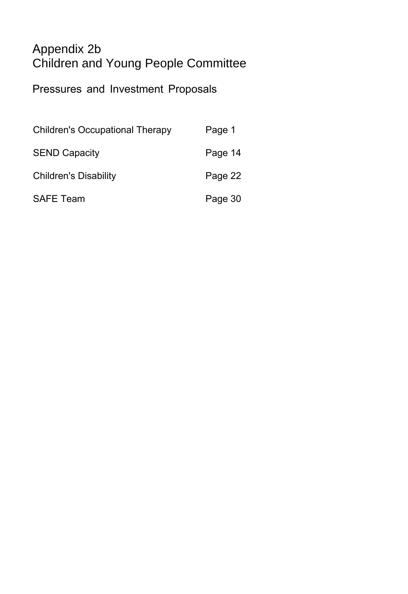### Appendix 2b Children and Young People Committee

Pressures and Investment Proposals

| <b>Children's Occupational Therapy</b> | Page 1  |
|----------------------------------------|---------|
| <b>SEND Capacity</b>                   | Page 14 |
| <b>Children's Disability</b>           | Page 22 |
| <b>SAFE Team</b>                       | Page 30 |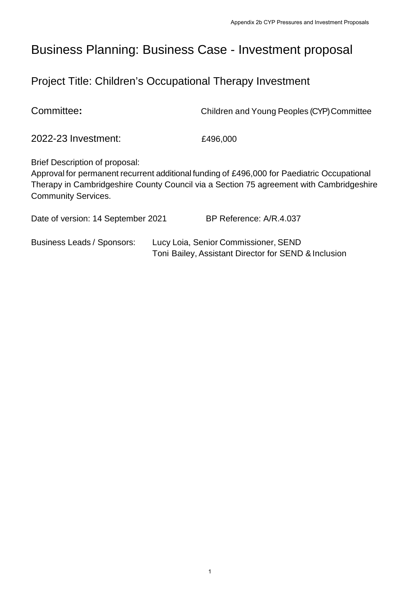## Business Planning: Business Case - Investment proposal

### Project Title: Children's Occupational Therapy Investment

2022-23 Investment: £496,000 Brief Description of proposal: Approval for permanent recurrent additional funding of £496,000 for Paediatric Occupational Therapy in Cambridgeshire County Council via a Section 75 agreement with Cambridgeshire Community Services. Date of version: 14 September 2021 BP Reference: A/R.4.037 Business Leads / Sponsors: Lucy Loia, Senior Commissioner, SEND Toni Bailey, Assistant Director for SEND & Inclusion

Committee**:** Children and Young Peoples (CYP) Committee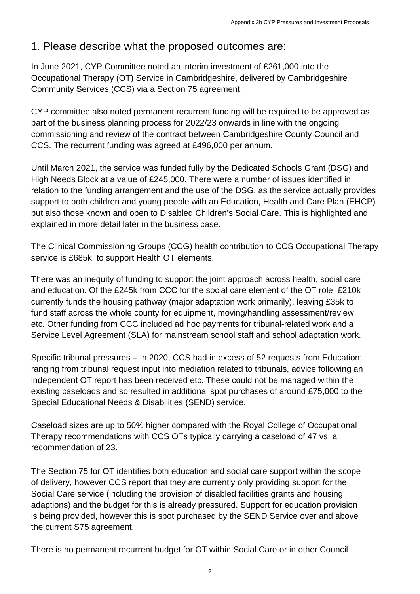#### 1. Please describe what the proposed outcomes are:

In June 2021, CYP Committee noted an interim investment of £261,000 into the Occupational Therapy (OT) Service in Cambridgeshire, delivered by Cambridgeshire Community Services (CCS) via a Section 75 agreement.

CYP committee also noted permanent recurrent funding will be required to be approved as part of the business planning process for 2022/23 onwards in line with the ongoing commissioning and review of the contract between Cambridgeshire County Council and CCS. The recurrent funding was agreed at £496,000 per annum.

Until March 2021, the service was funded fully by the Dedicated Schools Grant (DSG) and High Needs Block at a value of £245,000. There were a number of issues identified in relation to the funding arrangement and the use of the DSG, as the service actually provides support to both children and young people with an Education, Health and Care Plan (EHCP) but also those known and open to Disabled Children's Social Care. This is highlighted and explained in more detail later in the business case.

The Clinical Commissioning Groups (CCG) health contribution to CCS Occupational Therapy service is £685k, to support Health OT elements.

There was an inequity of funding to support the joint approach across health, social care and education. Of the £245k from CCC for the social care element of the OT role; £210k currently funds the housing pathway (major adaptation work primarily), leaving £35k to fund staff across the whole county for equipment, moving/handling assessment/review etc. Other funding from CCC included ad hoc payments for tribunal-related work and a Service Level Agreement (SLA) for mainstream school staff and school adaptation work.

Specific tribunal pressures – In 2020, CCS had in excess of 52 requests from Education; ranging from tribunal request input into mediation related to tribunals, advice following an independent OT report has been received etc. These could not be managed within the existing caseloads and so resulted in additional spot purchases of around £75,000 to the Special Educational Needs & Disabilities (SEND) service.

Caseload sizes are up to 50% higher compared with the Royal College of Occupational Therapy recommendations with CCS OTs typically carrying a caseload of 47 vs. a recommendation of 23.

The Section 75 for OT identifies both education and social care support within the scope of delivery, however CCS report that they are currently only providing support for the Social Care service (including the provision of disabled facilities grants and housing adaptions) and the budget for this is already pressured. Support for education provision is being provided, however this is spot purchased by the SEND Service over and above the current S75 agreement.

There is no permanent recurrent budget for OT within Social Care or in other Council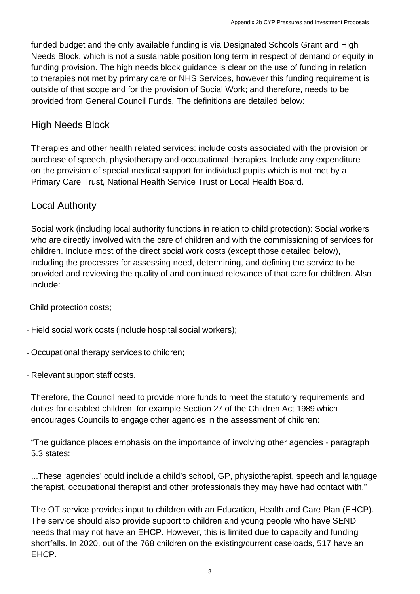funded budget and the only available funding is via Designated Schools Grant and High Needs Block, which is not a sustainable position long term in respect of demand or equity in funding provision. The high needs block guidance is clear on the use of funding in relation to therapies not met by primary care or NHS Services, however this funding requirement is outside of that scope and for the provision of Social Work; and therefore, needs to be provided from General Council Funds. The definitions are detailed below:

#### High Needs Block

Therapies and other health related services: include costs associated with the provision or purchase of speech, physiotherapy and occupational therapies. Include any expenditure on the provision of special medical support for individual pupils which is not met by a Primary Care Trust, National Health Service Trust or Local Health Board.

#### Local Authority

Social work (including local authority functions in relation to child protection): Social workers who are directly involved with the care of children and with the commissioning of services for children. Include most of the direct social work costs (except those detailed below), including the processes for assessing need, determining, and defining the service to be provided and reviewing the quality of and continued relevance of that care for children. Also include:

-Child protection costs;

- Field social work costs (include hospital social workers);

- Occupational therapy services to children;
- Relevant support staff costs.

Therefore, the Council need to provide more funds to meet the statutory requirements and duties for disabled children, for example Section 27 of the Children Act 1989 which encourages Councils to engage other agencies in the assessment of children:

"The guidance places emphasis on the importance of involving other agencies - paragraph 5.3 states:

...These 'agencies' could include a child's school, GP, physiotherapist, speech and language therapist, occupational therapist and other professionals they may have had contact with."

The OT service provides input to children with an Education, Health and Care Plan (EHCP). The service should also provide support to children and young people who have SEND needs that may not have an EHCP. However, this is limited due to capacity and funding shortfalls. In 2020, out of the 768 children on the existing/current caseloads, 517 have an EHCP.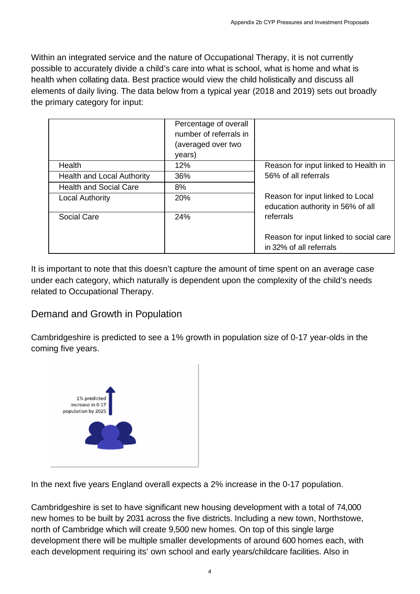Within an integrated service and the nature of Occupational Therapy, it is not currently possible to accurately divide a child's care into what is school, what is home and what is health when collating data. Best practice would view the child holistically and discuss all elements of daily living. The data below from a typical year (2018 and 2019) sets out broadly the primary category for input:

|                                   | Percentage of overall<br>number of referrals in<br>(averaged over two<br>years) |                                                                       |
|-----------------------------------|---------------------------------------------------------------------------------|-----------------------------------------------------------------------|
| Health                            | 12%                                                                             | Reason for input linked to Health in                                  |
| <b>Health and Local Authority</b> | 36%                                                                             | 56% of all referrals                                                  |
| <b>Health and Social Care</b>     | 8%                                                                              |                                                                       |
| <b>Local Authority</b>            | 20%                                                                             | Reason for input linked to Local<br>education authority in 56% of all |
| Social Care                       | 24%                                                                             | referrals                                                             |
|                                   |                                                                                 | Reason for input linked to social care                                |
|                                   |                                                                                 | in 32% of all referrals                                               |

It is important to note that this doesn't capture the amount of time spent on an average case under each category, which naturally is dependent upon the complexity of the child's needs related to Occupational Therapy.

#### Demand and Growth in Population

Cambridgeshire is predicted to see a 1% growth in population size of 0-17 year-olds in the coming five years.



In the next five years England overall expects a 2% increase in the 0-17 population.

Cambridgeshire is set to have significant new housing development with a total of 74,000 new homes to be built by 2031 across the five districts. Including a new town, Northstowe, north of Cambridge which will create 9,500 new homes. On top of this single large development there will be multiple smaller developments of around 600 homes each, with each development requiring its' own school and early years/childcare facilities. Also in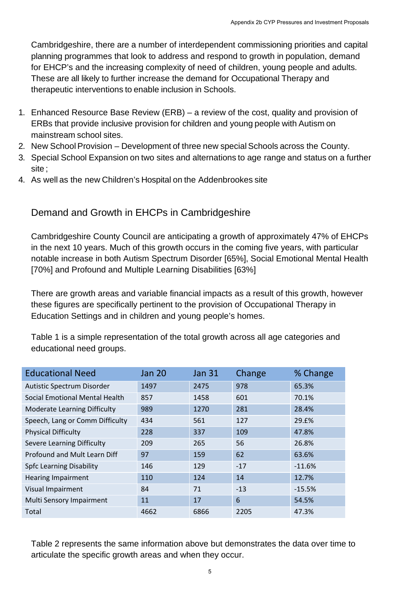Cambridgeshire, there are a number of interdependent commissioning priorities and capital planning programmes that look to address and respond to growth in population, demand for EHCP's and the increasing complexity of need of children, young people and adults. These are all likely to further increase the demand for Occupational Therapy and therapeutic interventions to enable inclusion in Schools.

- 1. Enhanced Resource Base Review (ERB) a review of the cost, quality and provision of ERBs that provide inclusive provision for children and young people with Autism on mainstream school sites.
- 2. New School Provision Development of three new special Schools across the County.
- 3. Special School Expansion on two sites and alternations to age range and status on a further site ;
- 4. As well as the new Children's Hospital on the Addenbrookes site

#### Demand and Growth in EHCPs in Cambridgeshire

Cambridgeshire County Council are anticipating a growth of approximately 47% of EHCPs in the next 10 years. Much of this growth occurs in the coming five years, with particular notable increase in both Autism Spectrum Disorder [65%], Social Emotional Mental Health [70%] and Profound and Multiple Learning Disabilities [63%]

There are growth areas and variable financial impacts as a result of this growth, however these figures are specifically pertinent to the provision of Occupational Therapy in Education Settings and in children and young people's homes.

Table 1 is a simple representation of the total growth across all age categories and educational need groups.

| <b>Educational Need</b>             | Jan 20 | <b>Jan 31</b> | Change | % Change |
|-------------------------------------|--------|---------------|--------|----------|
| Autistic Spectrum Disorder          | 1497   | 2475          | 978    | 65.3%    |
| Social Emotional Mental Health      | 857    | 1458          | 601    | 70.1%    |
| <b>Moderate Learning Difficulty</b> | 989    | 1270          | 281    | 28.4%    |
| Speech, Lang or Comm Difficulty     | 434    | 561           | 127    | 29.£%    |
| <b>Physical Difficulty</b>          | 228    | 337           | 109    | 47.8%    |
| Severe Learning Difficulty          | 209    | 265           | 56     | 26.8%    |
| Profound and Mult Learn Diff        | 97     | 159           | 62     | 63.6%    |
| <b>Spfc Learning Disability</b>     | 146    | 129           | $-17$  | $-11.6%$ |
| <b>Hearing Impairment</b>           | 110    | 124           | 14     | 12.7%    |
| Visual Impairment                   | 84     | 71            | $-13$  | $-15.5%$ |
| Multi Sensory Impairment            | 11     | 17            | 6      | 54.5%    |
| Total                               | 4662   | 6866          | 2205   | 47.3%    |

Table 2 represents the same information above but demonstrates the data over time to articulate the specific growth areas and when they occur.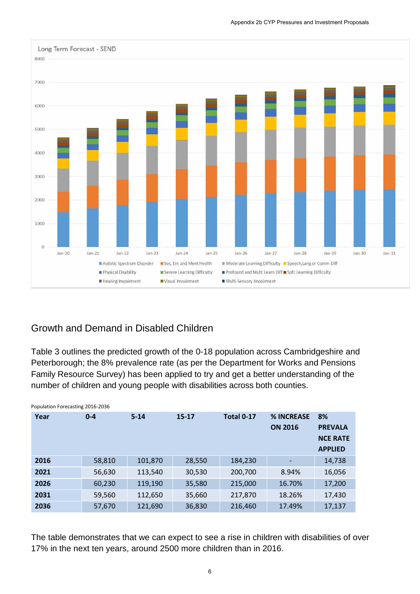

#### Appendix 2b CYP Pressures and Investment Proposals

#### Growth and Demand in Disabled Children

Table 3 outlines the predicted growth of the 0-18 population across Cambridgeshire and Peterborough; the 8% prevalence rate (as per the Department for Works and Pensions Family Resource Survey) has been applied to try and get a better understanding of the number of children and young people with disabilities across both counties.

| Year | $0 - 4$ | $5 - 14$ | $15 - 17$ | <b>Total 0-17</b> | % INCREASE<br><b>ON 2016</b> | 8%<br><b>PREVALA</b><br><b>NCE RATE</b><br><b>APPLIED</b> |
|------|---------|----------|-----------|-------------------|------------------------------|-----------------------------------------------------------|
| 2016 | 58,810  | 101,870  | 28,550    | 184,230           |                              | 14,738                                                    |
| 2021 | 56,630  | 113,540  | 30,530    | 200,700           | 8.94%                        | 16,056                                                    |
| 2026 | 60,230  | 119,190  | 35,580    | 215,000           | 16.70%                       | 17,200                                                    |
| 2031 | 59,560  | 112,650  | 35,660    | 217,870           | 18.26%                       | 17,430                                                    |
| 2036 | 57,670  | 121,690  | 36,830    | 216,460           | 17.49%                       | 17,137                                                    |

Population Forecasting 2016-2036

The table demonstrates that we can expect to see a rise in children with disabilities of over 17% in the next ten years, around 2500 more children than in 2016.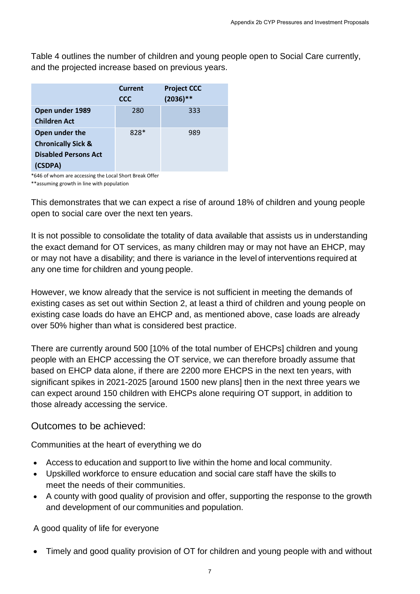Table 4 outlines the number of children and young people open to Social Care currently, and the projected increase based on previous years.

|                                                                                           | <b>Current</b><br><b>CCC</b> | <b>Project CCC</b><br>$(2036)$ ** |
|-------------------------------------------------------------------------------------------|------------------------------|-----------------------------------|
| Open under 1989<br><b>Children Act</b>                                                    | 280                          | 333                               |
| Open under the<br><b>Chronically Sick &amp;</b><br><b>Disabled Persons Act</b><br>(CSDPA) | 828*                         | 989                               |

\*646 of whom are accessing the Local Short Break Offer

\*\*assuming growth in line with population

This demonstrates that we can expect a rise of around 18% of children and young people open to social care over the next ten years.

It is not possible to consolidate the totality of data available that assists us in understanding the exact demand for OT services, as many children may or may not have an EHCP, may or may not have a disability; and there is variance in the level of interventions required at any one time for children and young people.

However, we know already that the service is not sufficient in meeting the demands of existing cases as set out within Section 2, at least a third of children and young people on existing case loads do have an EHCP and, as mentioned above, case loads are already over 50% higher than what is considered best practice.

There are currently around 500 [10% of the total number of EHCPs] children and young people with an EHCP accessing the OT service, we can therefore broadly assume that based on EHCP data alone, if there are 2200 more EHCPS in the next ten years, with significant spikes in 2021-2025 [around 1500 new plans] then in the next three years we can expect around 150 children with EHCPs alone requiring OT support, in addition to those already accessing the service.

#### Outcomes to be achieved:

Communities at the heart of everything we do

- Access to education and support to live within the home and local community.
- Upskilled workforce to ensure education and social care staff have the skills to meet the needs of their communities.
- A county with good quality of provision and offer, supporting the response to the growth and development of our communities and population.

A good quality of life for everyone

• Timely and good quality provision of OT for children and young people with and without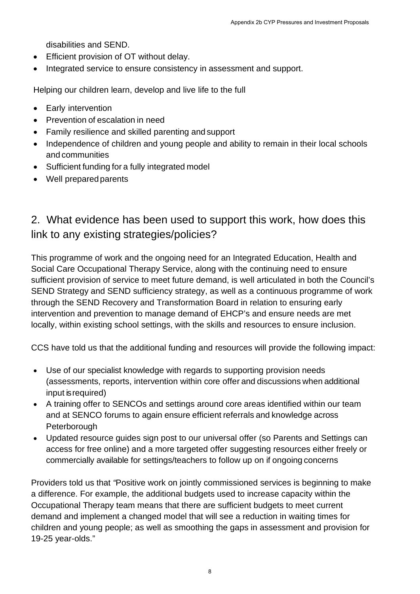disabilities and SEND.

- Efficient provision of OT without delay.
- Integrated service to ensure consistency in assessment and support.

Helping our children learn, develop and live life to the full

- Early intervention
- Prevention of escalation in need
- Family resilience and skilled parenting and support
- Independence of children and young people and ability to remain in their local schools and communities
- Sufficient funding for a fully integrated model
- Well prepared parents

### 2. What evidence has been used to support this work, how does this link to any existing strategies/policies?

This programme of work and the ongoing need for an Integrated Education, Health and Social Care Occupational Therapy Service, along with the continuing need to ensure sufficient provision of service to meet future demand, is well articulated in both the Council's SEND Strategy and SEND sufficiency strategy, as well as a continuous programme of work through the SEND Recovery and Transformation Board in relation to ensuring early intervention and prevention to manage demand of EHCP's and ensure needs are met locally, within existing school settings, with the skills and resources to ensure inclusion.

CCS have told us that the additional funding and resources will provide the following impact:

- Use of our specialist knowledge with regards to supporting provision needs (assessments, reports, intervention within core offer and discussions when additional input is required)
- A training offer to SENCOs and settings around core areas identified within our team and at SENCO forums to again ensure efficient referrals and knowledge across **Peterborough**
- Updated resource guides sign post to our universal offer (so Parents and Settings can access for free online) and a more targeted offer suggesting resources either freely or commercially available for settings/teachers to follow up on if ongoing concerns

Providers told us that *"*Positive work on jointly commissioned services is beginning to make a difference. For example, the additional budgets used to increase capacity within the Occupational Therapy team means that there are sufficient budgets to meet current demand and implement a changed model that will see a reduction in waiting times for children and young people; as well as smoothing the gaps in assessment and provision for 19-25 year-olds."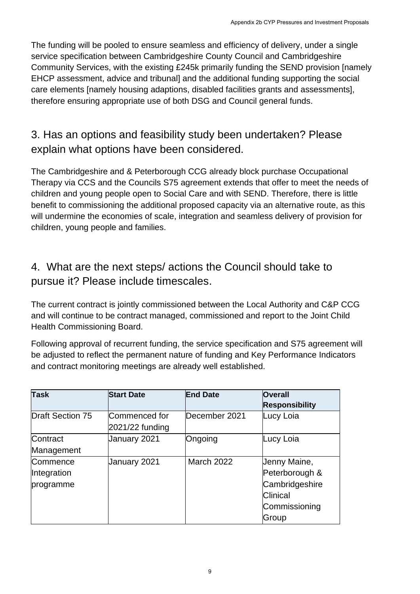The funding will be pooled to ensure seamless and efficiency of delivery, under a single service specification between Cambridgeshire County Council and Cambridgeshire Community Services, with the existing £245k primarily funding the SEND provision [namely EHCP assessment, advice and tribunal] and the additional funding supporting the social care elements [namely housing adaptions, disabled facilities grants and assessments], therefore ensuring appropriate use of both DSG and Council general funds.

### 3. Has an options and feasibility study been undertaken? Please explain what options have been considered.

The Cambridgeshire and & Peterborough CCG already block purchase Occupational Therapy via CCS and the Councils S75 agreement extends that offer to meet the needs of children and young people open to Social Care and with SEND. Therefore, there is little benefit to commissioning the additional proposed capacity via an alternative route, as this will undermine the economies of scale, integration and seamless delivery of provision for children, young people and families.

### 4. What are the next steps/ actions the Council should take to pursue it? Please include timescales.

The current contract is jointly commissioned between the Local Authority and C&P CCG and will continue to be contract managed, commissioned and report to the Joint Child Health Commissioning Board.

Following approval of recurrent funding, the service specification and S75 agreement will be adjusted to reflect the permanent nature of funding and Key Performance Indicators and contract monitoring meetings are already well established.

| <b>Task</b>                          | <b>Start Date</b>                  | <b>End Date</b>   | <b>Overall</b><br><b>Responsibility</b>                                                |
|--------------------------------------|------------------------------------|-------------------|----------------------------------------------------------------------------------------|
| <b>Draft Section 75</b>              | Commenced for<br>$2021/22$ funding | December 2021     | Lucy Loia                                                                              |
| Contract<br>Management               | January 2021                       | Ongoing           | Lucy Loia                                                                              |
| Commence<br>Integration<br>programme | January 2021                       | <b>March 2022</b> | Jenny Maine,<br>Peterborough &<br>Cambridgeshire<br>Clinical<br>Commissioning<br>Group |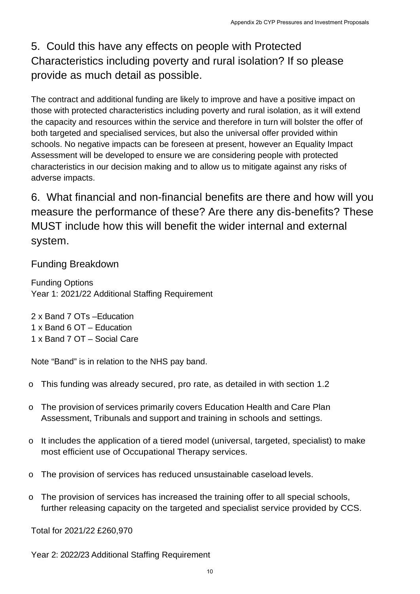### 5. Could this have any effects on people with Protected Characteristics including poverty and rural isolation? If so please provide as much detail as possible.

The contract and additional funding are likely to improve and have a positive impact on those with protected characteristics including poverty and rural isolation, as it will extend the capacity and resources within the service and therefore in turn will bolster the offer of both targeted and specialised services, but also the universal offer provided within schools. No negative impacts can be foreseen at present, however an Equality Impact Assessment will be developed to ensure we are considering people with protected characteristics in our decision making and to allow us to mitigate against any risks of adverse impacts. Appendix 2b CYP Pressures and Investment Proposals<br>
improve and have a positive impact on<br>
bimprove and have a positive impact on<br>
overly and rural isolation? If so please<br>
bimprove and therefore in turn will bolster the o

6. What financial and non-financial benefits are there and how will you measure the performance of these? Are there any dis-benefits? These MUST include how this will benefit the wider internal and external system.

#### Funding Breakdown

Funding Options Year 1: 2021/22 Additional Staffing Requirement

- 2 x Band 7 OTs –Education 1 x Band 6 OT – Education
- 1 x Band 7 OT Social Care

Note "Band" is in relation to the NHS pay band.

- o This funding was already secured, pro rate, as detailed in with section 1.2
- o The provision of services primarily covers Education Health and Care Plan Assessment, Tribunals and support and training in schools and settings.
- o It includes the application of a tiered model (universal, targeted, specialist) to make most efficient use of Occupational Therapy services.
- o The provision of services has reduced unsustainable caseload levels.
- o The provision of services has increased the training offer to all special schools, further releasing capacity on the targeted and specialist service provided by CCS.

Total for 2021/22 £260,970

Year 2: 2022/23 Additional Staffing Requirement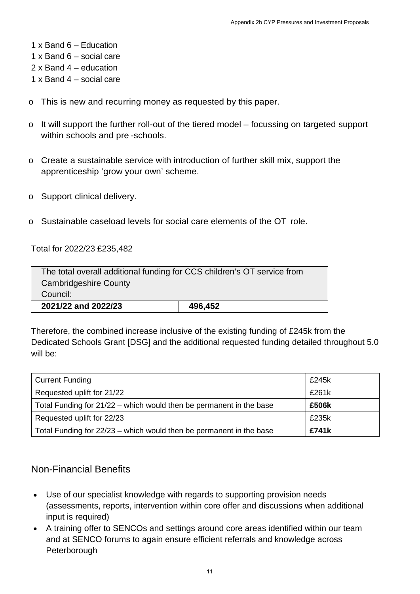- 1 x Band 4 social care
- o This is new and recurring money as requested by this paper.
- o It will support the further roll-out of the tiered model focussing on targeted support within schools and pre -schools.
- o Create a sustainable service with introduction of further skill mix, support the apprenticeship 'grow your own' scheme.
- o Support clinical delivery.
- o Sustainable caseload levels for social care elements of the OT role.

| The total overall additional funding for CCS children's OT service from |  |  |
|-------------------------------------------------------------------------|--|--|
| <b>Cambridgeshire County</b>                                            |  |  |
| Council:                                                                |  |  |
| 2021/22 and 2022/23<br>496,452                                          |  |  |

|                                                                                                                                                                                                                                                                                                                                                                                                                                 | Appendix 2b CYP Pressures and Investment Proposals |
|---------------------------------------------------------------------------------------------------------------------------------------------------------------------------------------------------------------------------------------------------------------------------------------------------------------------------------------------------------------------------------------------------------------------------------|----------------------------------------------------|
| 1 x Band $6$ – Education<br>1 x Band $6 -$ social care<br>$2 \times$ Band 4 – education<br>1 x Band $4$ – social care                                                                                                                                                                                                                                                                                                           |                                                    |
| $\circ$ This is new and recurring money as requested by this paper.                                                                                                                                                                                                                                                                                                                                                             |                                                    |
| It will support the further roll-out of the tiered model – focussing on targeted support<br>C<br>within schools and pre-schools.                                                                                                                                                                                                                                                                                                |                                                    |
| Create a sustainable service with introduction of further skill mix, support the<br>C<br>apprenticeship 'grow your own' scheme.                                                                                                                                                                                                                                                                                                 |                                                    |
| $\circ$ Support clinical delivery.                                                                                                                                                                                                                                                                                                                                                                                              |                                                    |
| $\circ$ Sustainable caseload levels for social care elements of the OT role.                                                                                                                                                                                                                                                                                                                                                    |                                                    |
| Total for 2022/23 £235,482                                                                                                                                                                                                                                                                                                                                                                                                      |                                                    |
| The total overall additional funding for CCS children's OT service from<br><b>Cambridgeshire County</b><br>Council:                                                                                                                                                                                                                                                                                                             |                                                    |
| 496,452<br>2021/22 and 2022/23                                                                                                                                                                                                                                                                                                                                                                                                  |                                                    |
| Therefore, the combined increase inclusive of the existing funding of £245k from the<br>Dedicated Schools Grant [DSG] and the additional requested funding detailed throughout 5.0<br>will be:                                                                                                                                                                                                                                  |                                                    |
| <b>Current Funding</b>                                                                                                                                                                                                                                                                                                                                                                                                          | £245k                                              |
| Requested uplift for 21/22                                                                                                                                                                                                                                                                                                                                                                                                      | £261k                                              |
| Total Funding for 21/22 - which would then be permanent in the base                                                                                                                                                                                                                                                                                                                                                             | £506k                                              |
| Requested uplift for 22/23                                                                                                                                                                                                                                                                                                                                                                                                      | £235k                                              |
| Total Funding for 22/23 - which would then be permanent in the base                                                                                                                                                                                                                                                                                                                                                             | £741k                                              |
| <b>Non-Financial Benefits</b><br>Use of our specialist knowledge with regards to supporting provision needs<br>(assessments, reports, intervention within core offer and discussions when additional<br>input is required)<br>A training offer to SENCOs and settings around core areas identified within our team<br>$\bullet$<br>and at SENCO forums to again ensure efficient referrals and knowledge across<br>Peterborough |                                                    |
| 11                                                                                                                                                                                                                                                                                                                                                                                                                              |                                                    |

#### Non-Financial Benefits

- Use of our specialist knowledge with regards to supporting provision needs (assessments, reports, intervention within core offer and discussions when additional input is required)
- A training offer to SENCOs and settings around core areas identified within our team and at SENCO forums to again ensure efficient referrals and knowledge across Peterborough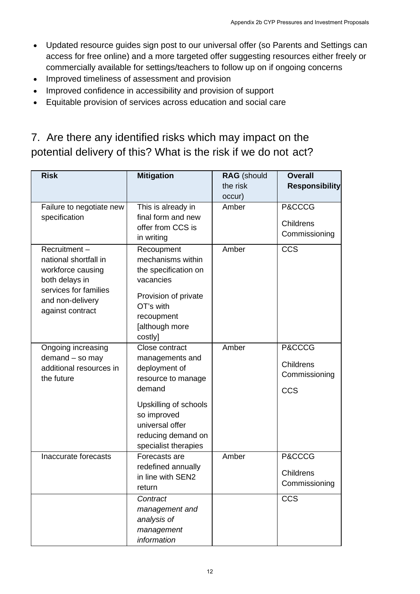- Updated resource guides sign post to our universal offer (so Parents and Settings can access for free online) and a more targeted offer suggesting resources either freely or commercially available for settings/teachers to follow up on if ongoing concerns
- Improved timeliness of assessment and provision
- Improved confidence in accessibility and provision of support
- Equitable provision of services across education and social care

### 7. Are there any identified risks which may impact on the potential delivery of this? What is the risk if we do not act?

| 7. Are there any identified risks which may impact on the<br>potential delivery of this? What is the risk if we do not act? | Updated resource guides sign post to our universal offer (so Parents and Settings can<br>access for free online) and a more targeted offer suggesting resources either freely or<br>commercially available for settings/teachers to follow up on if ongoing concerns<br>Improved timeliness of assessment and provision<br>Improved confidence in accessibility and provision of support<br>Equitable provision of services across education and social care |                                |                                         |
|-----------------------------------------------------------------------------------------------------------------------------|--------------------------------------------------------------------------------------------------------------------------------------------------------------------------------------------------------------------------------------------------------------------------------------------------------------------------------------------------------------------------------------------------------------------------------------------------------------|--------------------------------|-----------------------------------------|
| <b>Risk</b>                                                                                                                 | <b>Mitigation</b>                                                                                                                                                                                                                                                                                                                                                                                                                                            | <b>RAG</b> (should<br>the risk | <b>Overall</b><br><b>Responsibility</b> |
|                                                                                                                             |                                                                                                                                                                                                                                                                                                                                                                                                                                                              | occur)                         |                                         |
| Failure to negotiate new                                                                                                    | This is already in                                                                                                                                                                                                                                                                                                                                                                                                                                           | Amber                          | P&CCCG                                  |
| specification                                                                                                               | final form and new                                                                                                                                                                                                                                                                                                                                                                                                                                           |                                | Childrens                               |
|                                                                                                                             | offer from CCS is                                                                                                                                                                                                                                                                                                                                                                                                                                            |                                | Commissioning                           |
| Recruitment-                                                                                                                | in writing<br>Recoupment                                                                                                                                                                                                                                                                                                                                                                                                                                     | Amber                          | <b>CCS</b>                              |
| national shortfall in                                                                                                       | mechanisms within                                                                                                                                                                                                                                                                                                                                                                                                                                            |                                |                                         |
| workforce causing                                                                                                           | the specification on                                                                                                                                                                                                                                                                                                                                                                                                                                         |                                |                                         |
| both delays in                                                                                                              | vacancies                                                                                                                                                                                                                                                                                                                                                                                                                                                    |                                |                                         |
| services for families                                                                                                       | Provision of private                                                                                                                                                                                                                                                                                                                                                                                                                                         |                                |                                         |
| and non-delivery                                                                                                            | OT's with                                                                                                                                                                                                                                                                                                                                                                                                                                                    |                                |                                         |
| against contract                                                                                                            | recoupment                                                                                                                                                                                                                                                                                                                                                                                                                                                   |                                |                                         |
|                                                                                                                             | [although more                                                                                                                                                                                                                                                                                                                                                                                                                                               |                                |                                         |
|                                                                                                                             | costly]                                                                                                                                                                                                                                                                                                                                                                                                                                                      |                                |                                         |
| Ongoing increasing                                                                                                          | Close contract                                                                                                                                                                                                                                                                                                                                                                                                                                               | Amber                          | P&CCCG                                  |
| demand - so may<br>additional resources in                                                                                  | managements and                                                                                                                                                                                                                                                                                                                                                                                                                                              |                                | <b>Childrens</b>                        |
| the future                                                                                                                  | deployment of<br>resource to manage                                                                                                                                                                                                                                                                                                                                                                                                                          |                                | Commissioning                           |
|                                                                                                                             | demand                                                                                                                                                                                                                                                                                                                                                                                                                                                       |                                | <b>CCS</b>                              |
|                                                                                                                             | Upskilling of schools                                                                                                                                                                                                                                                                                                                                                                                                                                        |                                |                                         |
|                                                                                                                             | so improved                                                                                                                                                                                                                                                                                                                                                                                                                                                  |                                |                                         |
|                                                                                                                             | universal offer                                                                                                                                                                                                                                                                                                                                                                                                                                              |                                |                                         |
|                                                                                                                             | reducing demand on                                                                                                                                                                                                                                                                                                                                                                                                                                           |                                |                                         |
|                                                                                                                             | specialist therapies                                                                                                                                                                                                                                                                                                                                                                                                                                         |                                |                                         |
| Inaccurate forecasts                                                                                                        | Forecasts are                                                                                                                                                                                                                                                                                                                                                                                                                                                | Amber                          | P&CCCG                                  |
|                                                                                                                             | redefined annually                                                                                                                                                                                                                                                                                                                                                                                                                                           |                                | Childrens                               |
|                                                                                                                             | in line with SEN2                                                                                                                                                                                                                                                                                                                                                                                                                                            |                                | Commissioning                           |
|                                                                                                                             | return                                                                                                                                                                                                                                                                                                                                                                                                                                                       |                                | <b>CCS</b>                              |
|                                                                                                                             | Contract<br>management and                                                                                                                                                                                                                                                                                                                                                                                                                                   |                                |                                         |
|                                                                                                                             | analysis of                                                                                                                                                                                                                                                                                                                                                                                                                                                  |                                |                                         |
|                                                                                                                             | management                                                                                                                                                                                                                                                                                                                                                                                                                                                   |                                |                                         |
|                                                                                                                             |                                                                                                                                                                                                                                                                                                                                                                                                                                                              |                                |                                         |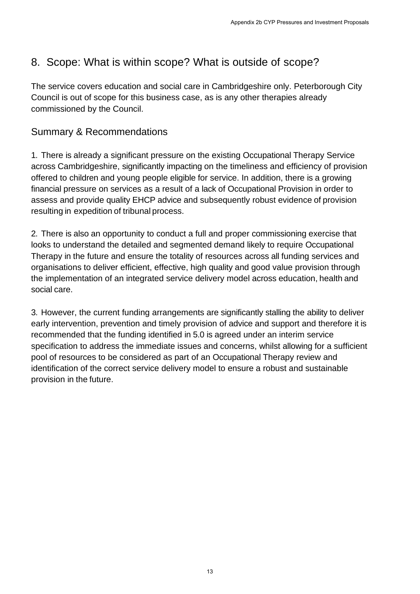### 8. Scope: What is within scope? What is outside of scope?

The service covers education and social care in Cambridgeshire only. Peterborough City Council is out of scope for this business case, as is any other therapies already commissioned by the Council.

#### Summary & Recommendations

1. There is already a significant pressure on the existing Occupational Therapy Service across Cambridgeshire, significantly impacting on the timeliness and efficiency of provision offered to children and young people eligible for service. In addition, there is a growing financial pressure on services as a result of a lack of Occupational Provision in order to assess and provide quality EHCP advice and subsequently robust evidence of provision resulting in expedition of tribunal process.

2. There is also an opportunity to conduct a full and proper commissioning exercise that looks to understand the detailed and segmented demand likely to require Occupational Therapy in the future and ensure the totality of resources across all funding services and organisations to deliver efficient, effective, high quality and good value provision through the implementation of an integrated service delivery model across education, health and social care.

3. However, the current funding arrangements are significantly stalling the ability to deliver early intervention, prevention and timely provision of advice and support and therefore it is recommended that the funding identified in 5.0 is agreed under an interim service specification to address the immediate issues and concerns, whilst allowing for a sufficient pool of resources to be considered as part of an Occupational Therapy review and identification of the correct service delivery model to ensure a robust and sustainable provision in the future. Appendix 2b CYP Pressures and Investment Proposals<br>
And is outside of scope?<br>
1) Cambridgeshire only. Peterborough City<br>
1988 is any other therapies already<br>
1988 is any other therapies already<br>
1988 is any other therapies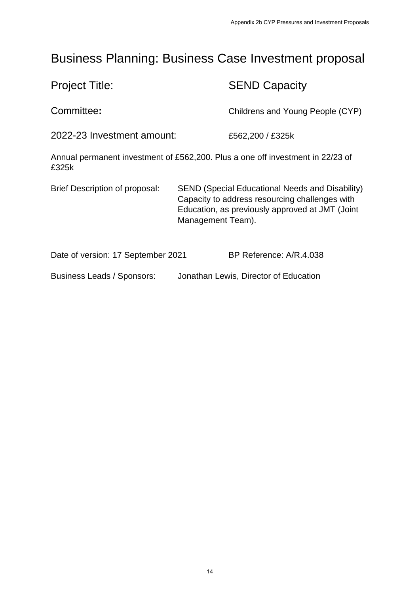# Business Planning: Business Case Investment proposal

|                                       | Appendix 2b CYP Pressures and Investment Proposals                                                                                                                               |
|---------------------------------------|----------------------------------------------------------------------------------------------------------------------------------------------------------------------------------|
|                                       | <b>Business Planning: Business Case Investment proposal</b>                                                                                                                      |
| <b>Project Title:</b>                 | <b>SEND Capacity</b>                                                                                                                                                             |
| Committee:                            | Childrens and Young People (CYP)                                                                                                                                                 |
| 2022-23 Investment amount:            | £562,200 / £325k                                                                                                                                                                 |
| £325k                                 | Annual permanent investment of £562,200. Plus a one off investment in 22/23 of                                                                                                   |
| <b>Brief Description of proposal:</b> | <b>SEND (Special Educational Needs and Disability)</b><br>Capacity to address resourcing challenges with<br>Education, as previously approved at JMT (Joint<br>Management Team). |
| Date of version: 17 September 2021    | BP Reference: A/R.4.038                                                                                                                                                          |
| Business Leads / Sponsors:            | Jonathan Lewis, Director of Education                                                                                                                                            |
|                                       |                                                                                                                                                                                  |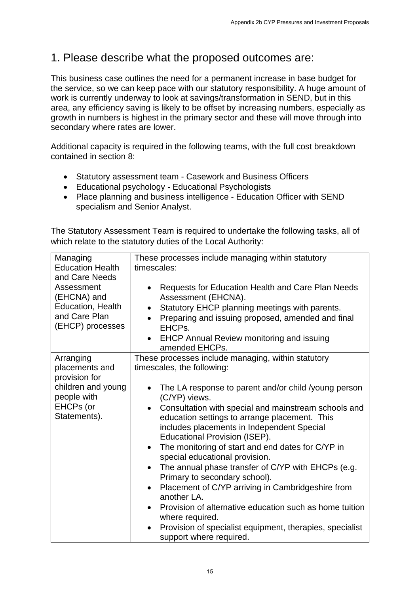### 1. Please describe what the proposed outcomes are:

- Statutory assessment team Casework and Business Officers
- Educational psychology Educational Psychologists
- Place planning and business intelligence Education Officer with SEND specialism and Senior Analyst.

|                                                                                                                                              | Appendix 2b CYP Pressures and Investment Proposals                                                                                                                                                                                                                                                                                                                                                                                                                                                                                                                                                                                                                                                                                                                                                                                                     |
|----------------------------------------------------------------------------------------------------------------------------------------------|--------------------------------------------------------------------------------------------------------------------------------------------------------------------------------------------------------------------------------------------------------------------------------------------------------------------------------------------------------------------------------------------------------------------------------------------------------------------------------------------------------------------------------------------------------------------------------------------------------------------------------------------------------------------------------------------------------------------------------------------------------------------------------------------------------------------------------------------------------|
|                                                                                                                                              | 1. Please describe what the proposed outcomes are:                                                                                                                                                                                                                                                                                                                                                                                                                                                                                                                                                                                                                                                                                                                                                                                                     |
| secondary where rates are lower.                                                                                                             | This business case outlines the need for a permanent increase in base budget for<br>the service, so we can keep pace with our statutory responsibility. A huge amount of<br>work is currently underway to look at savings/transformation in SEND, but in this<br>area, any efficiency saving is likely to be offset by increasing numbers, especially as<br>growth in numbers is highest in the primary sector and these will move through into                                                                                                                                                                                                                                                                                                                                                                                                        |
| contained in section 8:                                                                                                                      | Additional capacity is required in the following teams, with the full cost breakdown                                                                                                                                                                                                                                                                                                                                                                                                                                                                                                                                                                                                                                                                                                                                                                   |
| $\bullet$<br>$\bullet$<br>$\bullet$                                                                                                          | Statutory assessment team - Casework and Business Officers<br>Educational psychology - Educational Psychologists<br>Place planning and business intelligence - Education Officer with SEND<br>specialism and Senior Analyst.<br>The Statutory Assessment Team is required to undertake the following tasks, all of<br>which relate to the statutory duties of the Local Authority:                                                                                                                                                                                                                                                                                                                                                                                                                                                                     |
| Managing<br><b>Education Health</b><br>and Care Needs<br>Assessment<br>(EHCNA) and<br>Education, Health<br>and Care Plan<br>(EHCP) processes | These processes include managing within statutory<br>timescales:<br><b>Requests for Education Health and Care Plan Needs</b><br>Assessment (EHCNA).<br>Statutory EHCP planning meetings with parents.<br>Preparing and issuing proposed, amended and final<br>$\bullet$<br>EHCPs.<br><b>EHCP Annual Review monitoring and issuing</b><br>amended EHCPs.                                                                                                                                                                                                                                                                                                                                                                                                                                                                                                |
| Arranging<br>placements and<br>provision for<br>children and young<br>people with<br>EHCPs (or<br>Statements).                               | These processes include managing, within statutory<br>timescales, the following:<br>The LA response to parent and/or child /young person<br>(C/YP) views.<br>Consultation with special and mainstream schools and<br>$\bullet$<br>education settings to arrange placement. This<br>includes placements in Independent Special<br>Educational Provision (ISEP).<br>The monitoring of start and end dates for C/YP in<br>$\bullet$<br>special educational provision.<br>The annual phase transfer of C/YP with EHCPs (e.g.<br>$\bullet$<br>Primary to secondary school).<br>Placement of C/YP arriving in Cambridgeshire from<br>$\bullet$<br>another LA.<br>Provision of alternative education such as home tuition<br>$\bullet$<br>where required.<br>Provision of specialist equipment, therapies, specialist<br>$\bullet$<br>support where required. |
|                                                                                                                                              | 15                                                                                                                                                                                                                                                                                                                                                                                                                                                                                                                                                                                                                                                                                                                                                                                                                                                     |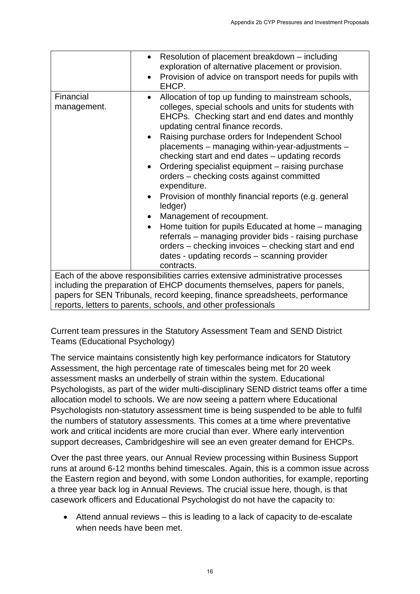|                                | Appendix 2b CYP Pressures and Investment Proposals                                                                                                                                                                                                                                                                                                                                                                                                                                                                                                                                                                                                                                                                                                           |
|--------------------------------|--------------------------------------------------------------------------------------------------------------------------------------------------------------------------------------------------------------------------------------------------------------------------------------------------------------------------------------------------------------------------------------------------------------------------------------------------------------------------------------------------------------------------------------------------------------------------------------------------------------------------------------------------------------------------------------------------------------------------------------------------------------|
|                                |                                                                                                                                                                                                                                                                                                                                                                                                                                                                                                                                                                                                                                                                                                                                                              |
|                                | Resolution of placement breakdown - including<br>$\bullet$                                                                                                                                                                                                                                                                                                                                                                                                                                                                                                                                                                                                                                                                                                   |
|                                | exploration of alternative placement or provision.                                                                                                                                                                                                                                                                                                                                                                                                                                                                                                                                                                                                                                                                                                           |
|                                | Provision of advice on transport needs for pupils with<br>EHCP.                                                                                                                                                                                                                                                                                                                                                                                                                                                                                                                                                                                                                                                                                              |
| Financial<br>management.       | Allocation of top up funding to mainstream schools,<br>$\bullet$<br>colleges, special schools and units for students with<br>EHCPs. Checking start and end dates and monthly<br>updating central finance records.<br>Raising purchase orders for Independent School<br>placements - managing within-year-adjustments -                                                                                                                                                                                                                                                                                                                                                                                                                                       |
|                                | checking start and end dates - updating records<br>Ordering specialist equipment - raising purchase<br>orders - checking costs against committed<br>expenditure.<br>Provision of monthly financial reports (e.g. general<br>$\bullet$                                                                                                                                                                                                                                                                                                                                                                                                                                                                                                                        |
|                                | ledger)                                                                                                                                                                                                                                                                                                                                                                                                                                                                                                                                                                                                                                                                                                                                                      |
|                                | Management of recoupment.<br>$\bullet$                                                                                                                                                                                                                                                                                                                                                                                                                                                                                                                                                                                                                                                                                                                       |
|                                | Home tuition for pupils Educated at home - managing<br>referrals - managing provider bids - raising purchase<br>orders – checking invoices – checking start and end<br>dates - updating records - scanning provider<br>contracts.                                                                                                                                                                                                                                                                                                                                                                                                                                                                                                                            |
|                                | Each of the above responsibilities carries extensive administrative processes                                                                                                                                                                                                                                                                                                                                                                                                                                                                                                                                                                                                                                                                                |
|                                | including the preparation of EHCP documents themselves, papers for panels,<br>papers for SEN Tribunals, record keeping, finance spreadsheets, performance<br>reports, letters to parents, schools, and other professionals                                                                                                                                                                                                                                                                                                                                                                                                                                                                                                                                   |
| Teams (Educational Psychology) | Current team pressures in the Statutory Assessment Team and SEND District                                                                                                                                                                                                                                                                                                                                                                                                                                                                                                                                                                                                                                                                                    |
|                                | The service maintains consistently high key performance indicators for Statutory<br>Assessment, the high percentage rate of timescales being met for 20 week<br>assessment masks an underbelly of strain within the system. Educational<br>Psychologists, as part of the wider multi-disciplinary SEND district teams offer a time<br>allocation model to schools. We are now seeing a pattern where Educational<br>Psychologists non-statutory assessment time is being suspended to be able to fulfil<br>the numbers of statutory assessments. This comes at a time where preventative<br>work and critical incidents are more crucial than ever. Where early intervention<br>support decreases, Cambridgeshire will see an even greater demand for EHCPs. |
|                                | Over the past three years, our Annual Review processing within Business Support<br>runs at around 6-12 months behind timescales. Again, this is a common issue across<br>the Eastern region and beyond, with some London authorities, for example, reporting<br>a three year back log in Annual Reviews. The crucial issue here, though, is that<br>casework officers and Educational Psychologist do not have the capacity to:                                                                                                                                                                                                                                                                                                                              |
| when needs have been met.      | Attend annual reviews – this is leading to a lack of capacity to de-escalate                                                                                                                                                                                                                                                                                                                                                                                                                                                                                                                                                                                                                                                                                 |
|                                |                                                                                                                                                                                                                                                                                                                                                                                                                                                                                                                                                                                                                                                                                                                                                              |
|                                | 16                                                                                                                                                                                                                                                                                                                                                                                                                                                                                                                                                                                                                                                                                                                                                           |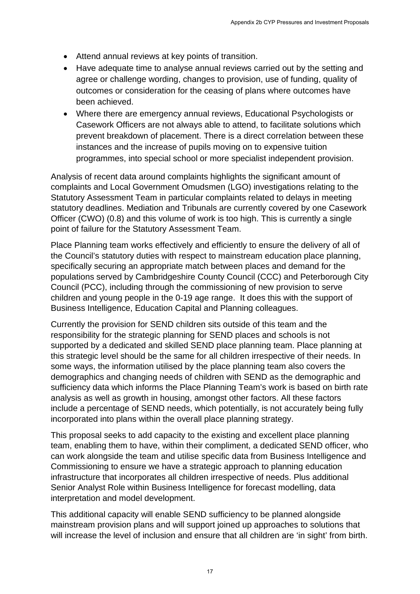- Attend annual reviews at key points of transition.
- Have adequate time to analyse annual reviews carried out by the setting and agree or challenge wording, changes to provision, use of funding, quality of outcomes or consideration for the ceasing of plans where outcomes have been achieved.
- Where there are emergency annual reviews, Educational Psychologists or Casework Officers are not always able to attend, to facilitate solutions which prevent breakdown of placement. There is a direct correlation between these instances and the increase of pupils moving on to expensive tuition programmes, into special school or more specialist independent provision.

Analysis of recent data around complaints highlights the significant amount of complaints and Local Government Omudsmen (LGO) investigations relating to the Statutory Assessment Team in particular complaints related to delays in meeting statutory deadlines. Mediation and Tribunals are currently covered by one Casework Officer (CWO) (0.8) and this volume of work is too high. This is currently a single point of failure for the Statutory Assessment Team.

Place Planning team works effectively and efficiently to ensure the delivery of all of the Council's statutory duties with respect to mainstream education place planning, specifically securing an appropriate match between places and demand for the populations served by Cambridgeshire County Council (CCC) and Peterborough City Council (PCC), including through the commissioning of new provision to serve children and young people in the 0-19 age range. It does this with the support of Business Intelligence, Education Capital and Planning colleagues.

Currently the provision for SEND children sits outside of this team and the responsibility for the strategic planning for SEND places and schools is not supported by a dedicated and skilled SEND place planning team. Place planning at this strategic level should be the same for all children irrespective of their needs. In some ways, the information utilised by the place planning team also covers the demographics and changing needs of children with SEND as the demographic and sufficiency data which informs the Place Planning Team's work is based on birth rate analysis as well as growth in housing, amongst other factors. All these factors include a percentage of SEND needs, which potentially, is not accurately being fully incorporated into plans within the overall place planning strategy. Aspendix 2b COP Pressures and Investment Proposals<br>
and reviews carried out by the setting and<br>
as to provision, use of funding, quality of<br>
areasing of plans where outcomes have<br>
areas to provision, use of funding, qualit

This proposal seeks to add capacity to the existing and excellent place planning team, enabling them to have, within their compliment, a dedicated SEND officer, who can work alongside the team and utilise specific data from Business Intelligence and Commissioning to ensure we have a strategic approach to planning education infrastructure that incorporates all children irrespective of needs. Plus additional Senior Analyst Role within Business Intelligence for forecast modelling, data interpretation and model development.

This additional capacity will enable SEND sufficiency to be planned alongside mainstream provision plans and will support joined up approaches to solutions that will increase the level of inclusion and ensure that all children are 'in sight' from birth.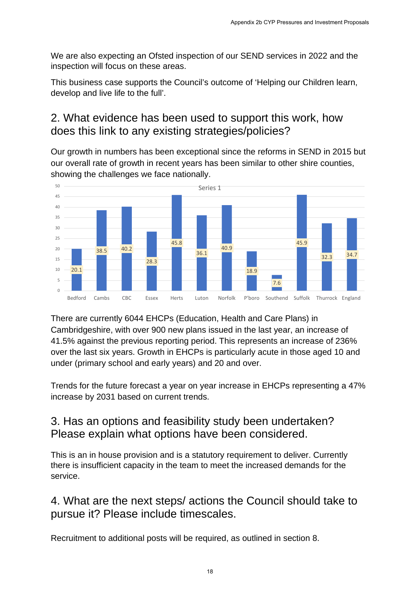We are also expecting an Ofsted inspection of our SEND services in 2022 and the inspection will focus on these areas.

This business case supports the Council's outcome of 'Helping our Children learn, develop and live life to the full'.

#### 2. What evidence has been used to support this work, how does this link to any existing strategies/policies?

Our growth in numbers has been exceptional since the reforms in SEND in 2015 but our overall rate of growth in recent years has been similar to other shire counties, showing the challenges we face nationally.



There are currently 6044 EHCPs (Education, Health and Care Plans) in Cambridgeshire, with over 900 new plans issued in the last year, an increase of 41.5% against the previous reporting period. This represents an increase of 236% over the last six years. Growth in EHCPs is particularly acute in those aged 10 and under (primary school and early years) and 20 and over.

Trends for the future forecast a year on year increase in EHCPs representing a 47% increase by 2031 based on current trends.

### 3. Has an options and feasibility study been undertaken? Please explain what options have been considered.

This is an in house provision and is a statutory requirement to deliver. Currently there is insufficient capacity in the team to meet the increased demands for the service.

#### 4. What are the next steps/ actions the Council should take to pursue it? Please include timescales.

Recruitment to additional posts will be required, as outlined in section 8.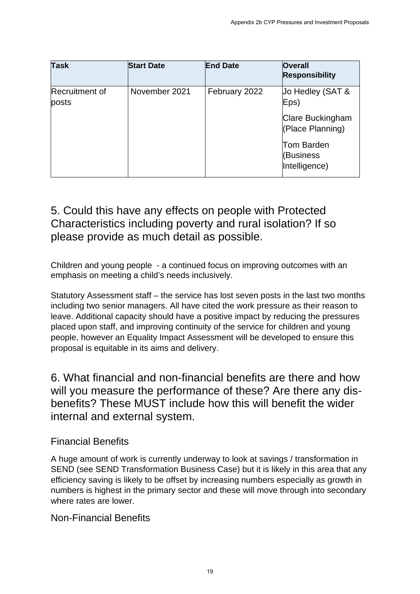| <b>Task</b>               | <b>Start Date</b>                                                                                                                                                             | <b>End Date</b> | <b>Overall</b><br><b>Responsibility</b>                                                                                                                                                                                                                          |
|---------------------------|-------------------------------------------------------------------------------------------------------------------------------------------------------------------------------|-----------------|------------------------------------------------------------------------------------------------------------------------------------------------------------------------------------------------------------------------------------------------------------------|
| Recruitment of<br>posts   | November 2021                                                                                                                                                                 | February 2022   | Jo Hedley (SAT &<br>Eps)                                                                                                                                                                                                                                         |
|                           |                                                                                                                                                                               |                 | <b>Clare Buckingham</b><br>(Place Planning)                                                                                                                                                                                                                      |
|                           |                                                                                                                                                                               |                 | <b>Tom Barden</b><br>(Business<br>Intelligence)                                                                                                                                                                                                                  |
|                           | please provide as much detail as possible.<br>Children and young people - a continued focus on improving outcomes with an<br>emphasis on meeting a child's needs inclusively. |                 |                                                                                                                                                                                                                                                                  |
|                           | placed upon staff, and improving continuity of the service for children and young                                                                                             |                 | Statutory Assessment staff – the service has lost seven posts in the last two months<br>including two senior managers. All have cited the work pressure as their reason to<br>leave. Additional capacity should have a positive impact by reducing the pressures |
|                           | proposal is equitable in its aims and delivery.                                                                                                                               |                 | people, however an Equality Impact Assessment will be developed to ensure this                                                                                                                                                                                   |
|                           | internal and external system.                                                                                                                                                 |                 | 6. What financial and non-financial benefits are there and how<br>will you measure the performance of these? Are there any dis-<br>benefits? These MUST include how this will benefit the wider                                                                  |
| <b>Financial Benefits</b> |                                                                                                                                                                               |                 |                                                                                                                                                                                                                                                                  |
|                           |                                                                                                                                                                               |                 | A huge amount of work is currently underway to look at savings / transformation in<br>SEND (see SEND Transformation Business Case) but it is likely in this area that any                                                                                        |
| where rates are lower.    | efficiency saving is likely to be offset by increasing numbers especially as growth in                                                                                        |                 | numbers is highest in the primary sector and these will move through into secondary                                                                                                                                                                              |

### 5. Could this have any effects on people with Protected Characteristics including poverty and rural isolation? If so please provide as much detail as possible.

#### Financial Benefits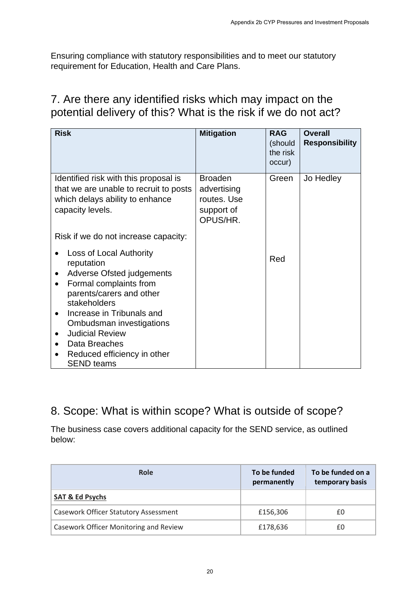### 7. Are there any identified risks which may impact on the potential delivery of this? What is the risk if we do not act?

| requirement for Education, Health and Care Plans.                                                 |                                             |                                                                                                                                                                                                                                                                                                                                                                                           |
|---------------------------------------------------------------------------------------------------|---------------------------------------------|-------------------------------------------------------------------------------------------------------------------------------------------------------------------------------------------------------------------------------------------------------------------------------------------------------------------------------------------------------------------------------------------|
| <b>Mitigation</b>                                                                                 | <b>RAG</b><br>(should<br>the risk<br>occur) | <b>Overall</b><br><b>Responsibility</b>                                                                                                                                                                                                                                                                                                                                                   |
| <b>Broaden</b><br>that we are unable to recruit to posts<br>advertising<br>support of<br>OPUS/HR. | Green                                       | Jo Hedley                                                                                                                                                                                                                                                                                                                                                                                 |
|                                                                                                   |                                             |                                                                                                                                                                                                                                                                                                                                                                                           |
|                                                                                                   | Red                                         |                                                                                                                                                                                                                                                                                                                                                                                           |
|                                                                                                   | To be funded                                | To be funded on a<br>temporary basis                                                                                                                                                                                                                                                                                                                                                      |
|                                                                                                   |                                             |                                                                                                                                                                                                                                                                                                                                                                                           |
|                                                                                                   | £156,306                                    | £0                                                                                                                                                                                                                                                                                                                                                                                        |
|                                                                                                   |                                             |                                                                                                                                                                                                                                                                                                                                                                                           |
|                                                                                                   |                                             | Ensuring compliance with statutory responsibilities and to meet our statutory<br>7. Are there any identified risks which may impact on the<br>potential delivery of this? What is the risk if we do not act?<br>routes. Use<br>8. Scope: What is within scope? What is outside of scope?<br>The business case covers additional capacity for the SEND service, as outlined<br>permanently |

### 8. Scope: What is within scope? What is outside of scope?

| Role                                         | To be funded<br>permanently | To be funded on a<br>temporary basis |
|----------------------------------------------|-----------------------------|--------------------------------------|
| <b>SAT &amp; Ed Psychs</b>                   |                             |                                      |
| <b>Casework Officer Statutory Assessment</b> | £156,306                    | £0                                   |
| Casework Officer Monitoring and Review       | £178,636                    | £0                                   |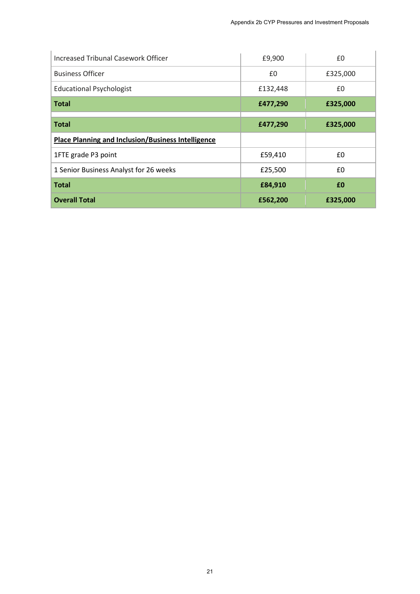| <b>Increased Tribunal Casework Officer</b>                | £9,900   | £0                |
|-----------------------------------------------------------|----------|-------------------|
| <b>Business Officer</b>                                   | £0       | £325,000          |
| <b>Educational Psychologist</b>                           | £132,448 | £0                |
| <b>Total</b>                                              | £477,290 | £325,000          |
| <b>Total</b>                                              | £477,290 | £325,000          |
| <b>Place Planning and Inclusion/Business Intelligence</b> |          |                   |
| 1FTE grade P3 point                                       | £59,410  | $\pmb{\text{f0}}$ |
| 1 Senior Business Analyst for 26 weeks                    | £25,500  | £0                |
| <b>Total</b>                                              | £84,910  | £0                |
| <b>Overall Total</b>                                      | £562,200 | £325,000          |
|                                                           |          |                   |
|                                                           |          |                   |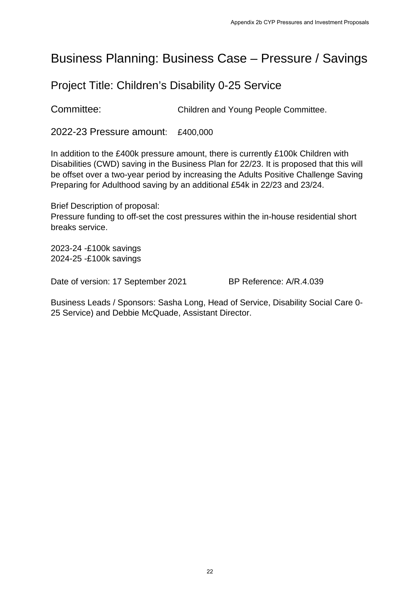### Business Planning: Business Case – Pressure / Savings

#### Project Title: Children's Disability 0-25 Service

Committee: Children and Young People Committee.

2022-23 Pressure amount: £400,000

In addition to the £400k pressure amount, there is currently £100k Children with Disabilities (CWD) saving in the Business Plan for 22/23. It is proposed that this will be offset over a two-year period by increasing the Adults Positive Challenge Saving Preparing for Adulthood saving by an additional £54k in 22/23 and 23/24. Appendix 2b CYP Pressures and Investment Proposals<br>
SC  $Case - Pressure / Savings$ <br>
ty 0-25 Service<br>
and Young People Committee.<br>
10<br>
Plan for 22/23. It is proposed that this will<br>
Plan for 22/23 and 23/24.<br>
It is proposed that this will<br>

Brief Description of proposal: Pressure funding to off-set the cost pressures within the in-house residential short breaks service.

2023-24 -£100k savings 2024-25 -£100k savings

Date of version: 17 September 2021 BP Reference: A/R.4.039

Business Leads / Sponsors: Sasha Long, Head of Service, Disability Social Care 0- 25 Service) and Debbie McQuade, Assistant Director.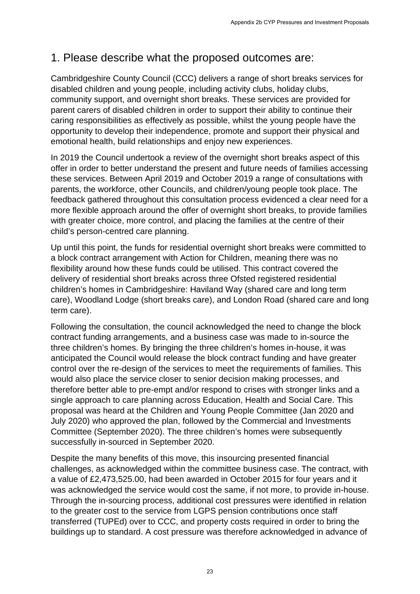### 1. Please describe what the proposed outcomes are:

Cambridgeshire County Council (CCC) delivers a range of short breaks services for disabled children and young people, including activity clubs, holiday clubs, community support, and overnight short breaks. These services are provided for parent carers of disabled children in order to support their ability to continue their caring responsibilities as effectively as possible, whilst the young people have the opportunity to develop their independence, promote and support their physical and emotional health, build relationships and enjoy new experiences.

In 2019 the Council undertook a review of the overnight short breaks aspect of this offer in order to better understand the present and future needs of families accessing these services. Between April 2019 and October 2019 a range of consultations with parents, the workforce, other Councils, and children/young people took place. The feedback gathered throughout this consultation process evidenced a clear need for a more flexible approach around the offer of overnight short breaks, to provide families with greater choice, more control, and placing the families at the centre of their child's person-centred care planning.

Up until this point, the funds for residential overnight short breaks were committed to a block contract arrangement with Action for Children, meaning there was no flexibility around how these funds could be utilised. This contract covered the delivery of residential short breaks across three Ofsted registered residential children's homes in Cambridgeshire: Haviland Way (shared care and long term care), Woodland Lodge (short breaks care), and London Road (shared care and long term care).

Following the consultation, the council acknowledged the need to change the block contract funding arrangements, and a business case was made to in-source the three children's homes. By bringing the three children's homes in-house, it was anticipated the Council would release the block contract funding and have greater control over the re-design of the services to meet the requirements of families. This would also place the service closer to senior decision making processes, and therefore better able to pre-empt and/or respond to crises with stronger links and a single approach to care planning across Education, Health and Social Care. This proposal was heard at the Children and Young People Committee (Jan 2020 and July 2020) who approved the plan, followed by the Commercial and Investments Committee (September 2020). The three children's homes were subsequently successfully in-sourced in September 2020. Appendix 2b CYP Pressures and Investment Proposals<br>
pposed outcomes are:<br>
Elvivers a range of short breaks services for<br>
relaks. These services are provided for<br>
relaks. These services are provided for<br>
relaks and Investme

Despite the many benefits of this move, this insourcing presented financial challenges, as acknowledged within the committee business case. The contract, with a value of £2,473,525.00, had been awarded in October 2015 for four years and it was acknowledged the service would cost the same, if not more, to provide in-house. Through the in-sourcing process, additional cost pressures were identified in relation to the greater cost to the service from LGPS pension contributions once staff transferred (TUPEd) over to CCC, and property costs required in order to bring the buildings up to standard. A cost pressure was therefore acknowledged in advance of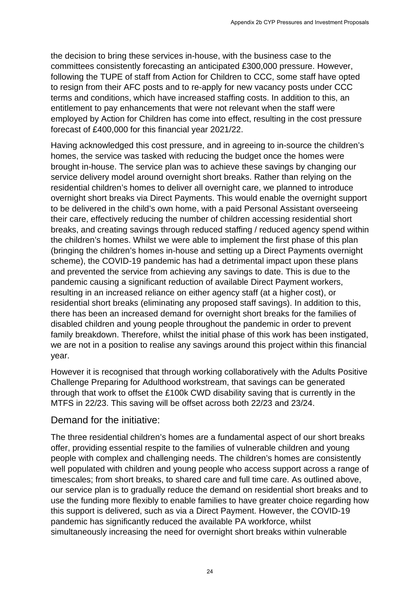the decision to bring these services in-house, with the business case to the committees consistently forecasting an anticipated £300,000 pressure. However, following the TUPE of staff from Action for Children to CCC, some staff have opted to resign from their AFC posts and to re-apply for new vacancy posts under CCC terms and conditions, which have increased staffing costs. In addition to this, an entitlement to pay enhancements that were not relevant when the staff were employed by Action for Children has come into effect, resulting in the cost pressure forecast of £400,000 for this financial year 2021/22.

Having acknowledged this cost pressure, and in agreeing to in-source the children's homes, the service was tasked with reducing the budget once the homes were brought in-house. The service plan was to achieve these savings by changing our service delivery model around overnight short breaks. Rather than relying on the residential children's homes to deliver all overnight care, we planned to introduce overnight short breaks via Direct Payments. This would enable the overnight support to be delivered in the child's own home, with a paid Personal Assistant overseeing their care, effectively reducing the number of children accessing residential short breaks, and creating savings through reduced staffing / reduced agency spend within the children's homes. Whilst we were able to implement the first phase of this plan (bringing the children's homes in-house and setting up a Direct Payments overnight scheme), the COVID-19 pandemic has had a detrimental impact upon these plans and prevented the service from achieving any savings to date. This is due to the pandemic causing a significant reduction of available Direct Payment workers, resulting in an increased reliance on either agency staff (at a higher cost), or residential short breaks (eliminating any proposed staff savings). In addition to this, there has been an increased demand for overnight short breaks for the families of disabled children and young people throughout the pandemic in order to prevent family breakdown. Therefore, whilst the initial phase of this work has been instigated, we are not in a position to realise any savings around this project within this financial year. Aspendix 2b CYP Pressures and Investment Proposals<br>
1936, with the business case to the<br>
titicipated £300,000 pressure. However,<br>
Children to CCC, some staff have opted<br>
ed staffing costs. In addition to this, an<br>
"e not r

However it is recognised that through working collaboratively with the Adults Positive Challenge Preparing for Adulthood workstream, that savings can be generated through that work to offset the £100k CWD disability saving that is currently in the MTFS in 22/23. This saving will be offset across both 22/23 and 23/24.

#### Demand for the initiative:

The three residential children's homes are a fundamental aspect of our short breaks offer, providing essential respite to the families of vulnerable children and young people with complex and challenging needs. The children's homes are consistently well populated with children and young people who access support across a range of timescales; from short breaks, to shared care and full time care. As outlined above, our service plan is to gradually reduce the demand on residential short breaks and to use the funding more flexibly to enable families to have greater choice regarding how this support is delivered, such as via a Direct Payment. However, the COVID-19 pandemic has significantly reduced the available PA workforce, whilst simultaneously increasing the need for overnight short breaks within vulnerable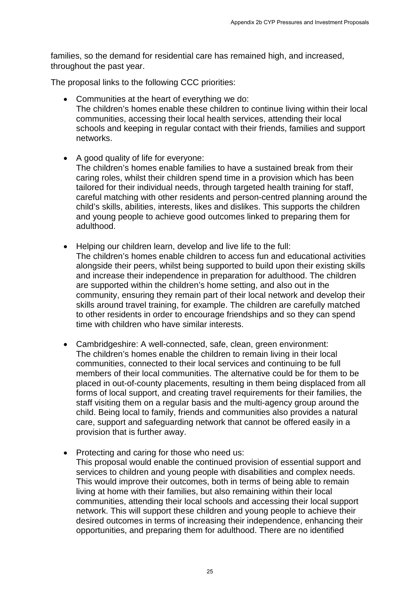families, so the demand for residential care has remained high, and increased, throughout the past year.

The proposal links to the following CCC priorities:

- Communities at the heart of everything we do: The children's homes enable these children to continue living within their local communities, accessing their local health services, attending their local schools and keeping in regular contact with their friends, families and support networks.
- A good quality of life for everyone: The children's homes enable families to have a sustained break from their caring roles, whilst their children spend time in a provision which has been tailored for their individual needs, through targeted health training for staff, careful matching with other residents and person-centred planning around the child's skills, abilities, interests, likes and dislikes. This supports the children and young people to achieve good outcomes linked to preparing them for adulthood.
- Helping our children learn, develop and live life to the full: The children's homes enable children to access fun and educational activities alongside their peers, whilst being supported to build upon their existing skills and increase their independence in preparation for adulthood. The children are supported within the children's home setting, and also out in the community, ensuring they remain part of their local network and develop their skills around travel training, for example. The children are carefully matched to other residents in order to encourage friendships and so they can spend time with children who have similar interests.
- Cambridgeshire: A well-connected, safe, clean, green environment: The children's homes enable the children to remain living in their local communities, connected to their local services and continuing to be full members of their local communities. The alternative could be for them to be placed in out-of-county placements, resulting in them being displaced from all forms of local support, and creating travel requirements for their families, the staff visiting them on a regular basis and the multi-agency group around the child. Being local to family, friends and communities also provides a natural care, support and safeguarding network that cannot be offered easily in a provision that is further away. Aspendix 2b CYP Pressures and Investment Proposals<br>
e has remained high, and increased,<br>
riorities:<br>
thing we do:<br>
children to continue living within their local<br>
health services, attending their local<br>
tact with their fri
- Protecting and caring for those who need us: This proposal would enable the continued provision of essential support and services to children and young people with disabilities and complex needs. This would improve their outcomes, both in terms of being able to remain living at home with their families, but also remaining within their local communities, attending their local schools and accessing their local support network. This will support these children and young people to achieve their desired outcomes in terms of increasing their independence, enhancing their opportunities, and preparing them for adulthood. There are no identified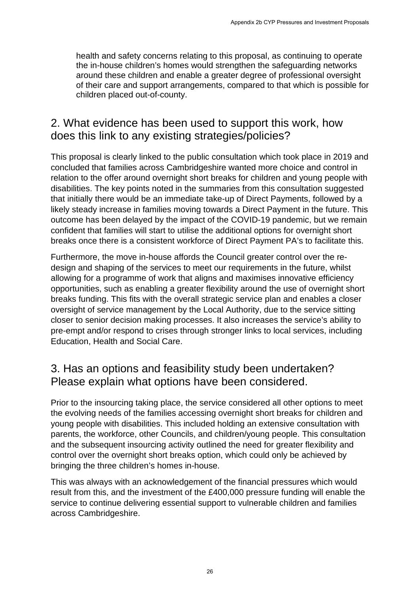health and safety concerns relating to this proposal, as continuing to operate the in-house children's homes would strengthen the safeguarding networks around these children and enable a greater degree of professional oversight of their care and support arrangements, compared to that which is possible for children placed out-of-county.

#### 2. What evidence has been used to support this work, how does this link to any existing strategies/policies?

This proposal is clearly linked to the public consultation which took place in 2019 and concluded that families across Cambridgeshire wanted more choice and control in relation to the offer around overnight short breaks for children and young people with disabilities. The key points noted in the summaries from this consultation suggested that initially there would be an immediate take-up of Direct Payments, followed by a likely steady increase in families moving towards a Direct Payment in the future. This outcome has been delayed by the impact of the COVID-19 pandemic, but we remain confident that families will start to utilise the additional options for overnight short breaks once there is a consistent workforce of Direct Payment PA's to facilitate this. Appendix 2b CYP Pressures and Investment Proposals<br>
to this proposal, as continuing to operate<br>
Id strengthen the safeguarding networks<br>
a greater degree of professional oversight<br>
ents, compared to that which is possible

Furthermore, the move in-house affords the Council greater control over the redesign and shaping of the services to meet our requirements in the future, whilst allowing for a programme of work that aligns and maximises innovative efficiency opportunities, such as enabling a greater flexibility around the use of overnight short breaks funding. This fits with the overall strategic service plan and enables a closer oversight of service management by the Local Authority, due to the service sitting closer to senior decision making processes. It also increases the service's ability to pre-empt and/or respond to crises through stronger links to local services, including Education, Health and Social Care.

### 3. Has an options and feasibility study been undertaken? Please explain what options have been considered.

Prior to the insourcing taking place, the service considered all other options to meet the evolving needs of the families accessing overnight short breaks for children and young people with disabilities. This included holding an extensive consultation with parents, the workforce, other Councils, and children/young people. This consultation and the subsequent insourcing activity outlined the need for greater flexibility and control over the overnight short breaks option, which could only be achieved by bringing the three children's homes in-house.

This was always with an acknowledgement of the financial pressures which would result from this, and the investment of the £400,000 pressure funding will enable the service to continue delivering essential support to vulnerable children and families across Cambridgeshire.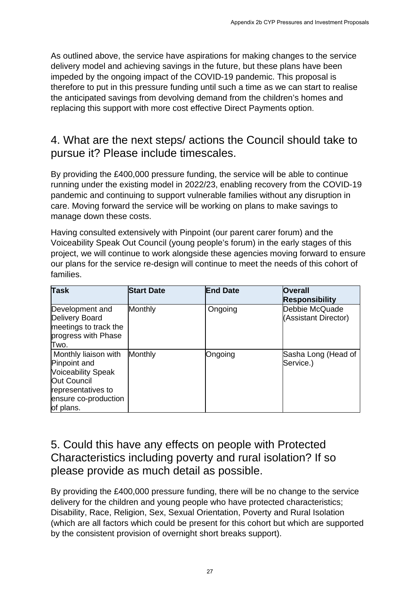### 4. What are the next steps/ actions the Council should take to pursue it? Please include timescales.

|                          |                 | Appendix 2b CYP Pressures and Investment Proposals                                                                                                                                                                                                                                                                                                                                                                                                                                                                                                                                                                                                                                                                                                                                                                                                                                                                                                                                                                                                                                                                                                                                                                                                                                                                                                                                                                                                                                                                                                                                                                                                                                                                                                                                                                                                                                                                   |
|--------------------------|-----------------|----------------------------------------------------------------------------------------------------------------------------------------------------------------------------------------------------------------------------------------------------------------------------------------------------------------------------------------------------------------------------------------------------------------------------------------------------------------------------------------------------------------------------------------------------------------------------------------------------------------------------------------------------------------------------------------------------------------------------------------------------------------------------------------------------------------------------------------------------------------------------------------------------------------------------------------------------------------------------------------------------------------------------------------------------------------------------------------------------------------------------------------------------------------------------------------------------------------------------------------------------------------------------------------------------------------------------------------------------------------------------------------------------------------------------------------------------------------------------------------------------------------------------------------------------------------------------------------------------------------------------------------------------------------------------------------------------------------------------------------------------------------------------------------------------------------------------------------------------------------------------------------------------------------------|
|                          |                 |                                                                                                                                                                                                                                                                                                                                                                                                                                                                                                                                                                                                                                                                                                                                                                                                                                                                                                                                                                                                                                                                                                                                                                                                                                                                                                                                                                                                                                                                                                                                                                                                                                                                                                                                                                                                                                                                                                                      |
|                          |                 |                                                                                                                                                                                                                                                                                                                                                                                                                                                                                                                                                                                                                                                                                                                                                                                                                                                                                                                                                                                                                                                                                                                                                                                                                                                                                                                                                                                                                                                                                                                                                                                                                                                                                                                                                                                                                                                                                                                      |
| manage down these costs. |                 |                                                                                                                                                                                                                                                                                                                                                                                                                                                                                                                                                                                                                                                                                                                                                                                                                                                                                                                                                                                                                                                                                                                                                                                                                                                                                                                                                                                                                                                                                                                                                                                                                                                                                                                                                                                                                                                                                                                      |
|                          |                 |                                                                                                                                                                                                                                                                                                                                                                                                                                                                                                                                                                                                                                                                                                                                                                                                                                                                                                                                                                                                                                                                                                                                                                                                                                                                                                                                                                                                                                                                                                                                                                                                                                                                                                                                                                                                                                                                                                                      |
| <b>Start Date</b>        | <b>End Date</b> | <b>Overall</b><br><b>Responsibility</b>                                                                                                                                                                                                                                                                                                                                                                                                                                                                                                                                                                                                                                                                                                                                                                                                                                                                                                                                                                                                                                                                                                                                                                                                                                                                                                                                                                                                                                                                                                                                                                                                                                                                                                                                                                                                                                                                              |
| Monthly                  | Ongoing         | Debbie McQuade<br>(Assistant Director)                                                                                                                                                                                                                                                                                                                                                                                                                                                                                                                                                                                                                                                                                                                                                                                                                                                                                                                                                                                                                                                                                                                                                                                                                                                                                                                                                                                                                                                                                                                                                                                                                                                                                                                                                                                                                                                                               |
| Monthly                  | Ongoing         | Sasha Long (Head of<br>Service.)                                                                                                                                                                                                                                                                                                                                                                                                                                                                                                                                                                                                                                                                                                                                                                                                                                                                                                                                                                                                                                                                                                                                                                                                                                                                                                                                                                                                                                                                                                                                                                                                                                                                                                                                                                                                                                                                                     |
|                          |                 |                                                                                                                                                                                                                                                                                                                                                                                                                                                                                                                                                                                                                                                                                                                                                                                                                                                                                                                                                                                                                                                                                                                                                                                                                                                                                                                                                                                                                                                                                                                                                                                                                                                                                                                                                                                                                                                                                                                      |
|                          |                 | As outlined above, the service have aspirations for making changes to the service<br>delivery model and achieving savings in the future, but these plans have been<br>impeded by the ongoing impact of the COVID-19 pandemic. This proposal is<br>therefore to put in this pressure funding until such a time as we can start to realise<br>the anticipated savings from devolving demand from the children's homes and<br>replacing this support with more cost effective Direct Payments option.<br>4. What are the next steps/ actions the Council should take to<br>pursue it? Please include timescales.<br>By providing the £400,000 pressure funding, the service will be able to continue<br>running under the existing model in 2022/23, enabling recovery from the COVID-19<br>pandemic and continuing to support vulnerable families without any disruption in<br>care. Moving forward the service will be working on plans to make savings to<br>Having consulted extensively with Pinpoint (our parent carer forum) and the<br>Voiceability Speak Out Council (young people's forum) in the early stages of this<br>project, we will continue to work alongside these agencies moving forward to ensure<br>our plans for the service re-design will continue to meet the needs of this cohort of<br>5. Could this have any effects on people with Protected<br>Characteristics including poverty and rural isolation? If so<br>please provide as much detail as possible.<br>By providing the £400,000 pressure funding, there will be no change to the service<br>delivery for the children and young people who have protected characteristics;<br>Disability, Race, Religion, Sex, Sexual Orientation, Poverty and Rural Isolation<br>(which are all factors which could be present for this cohort but which are supported<br>by the consistent provision of overnight short breaks support).<br>27 |

#### 5. Could this have any effects on people with Protected Characteristics including poverty and rural isolation? If so please provide as much detail as possible.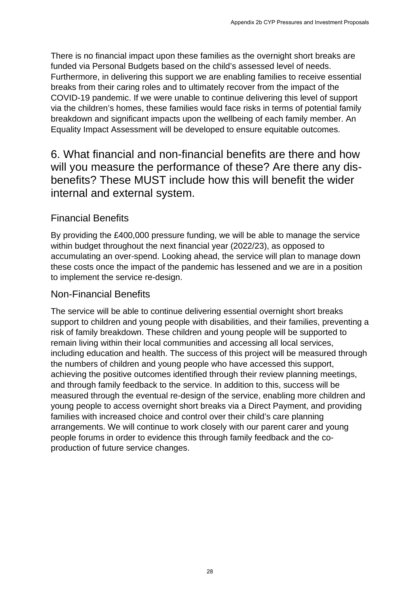There is no financial impact upon these families as the overnight short breaks are funded via Personal Budgets based on the child's assessed level of needs. Furthermore, in delivering this support we are enabling families to receive essential breaks from their caring roles and to ultimately recover from the impact of the COVID-19 pandemic. If we were unable to continue delivering this level of support via the children's homes, these families would face risks in terms of potential family breakdown and significant impacts upon the wellbeing of each family member. An Equality Impact Assessment will be developed to ensure equitable outcomes.

6. What financial and non-financial benefits are there and how will you measure the performance of these? Are there any disbenefits? These MUST include how this will benefit the wider internal and external system.

#### Financial Benefits

By providing the £400,000 pressure funding, we will be able to manage the service within budget throughout the next financial year (2022/23), as opposed to accumulating an over-spend. Looking ahead, the service will plan to manage down these costs once the impact of the pandemic has lessened and we are in a position to implement the service re-design.

#### Non-Financial Benefits

The service will be able to continue delivering essential overnight short breaks support to children and young people with disabilities, and their families, preventing a risk of family breakdown. These children and young people will be supported to remain living within their local communities and accessing all local services, including education and health. The success of this project will be measured through the numbers of children and young people who have accessed this support, achieving the positive outcomes identified through their review planning meetings, and through family feedback to the service. In addition to this, success will be measured through the eventual re-design of the service, enabling more children and young people to access overnight short breaks via a Direct Payment, and providing families with increased choice and control over their child's care planning arrangements. We will continue to work closely with our parent carer and young people forums in order to evidence this through family feedback and the coproduction of future service changes. Appendix 2b CYP Pressures and Investment Proposals<br>millies as the overnight short breaks are<br>e child's assessed level of needs.<br>are enabling families to receive essential<br>ately recover from the impact of the<br>portund data r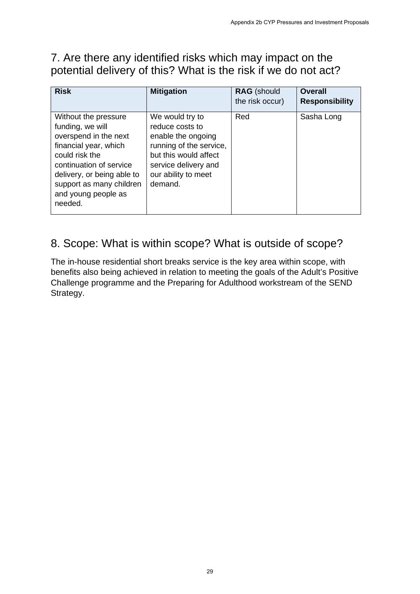### 7. Are there any identified risks which may impact on the potential delivery of this? What is the risk if we do not act?

| <b>Risk</b>                                                                                                                                                                                                                         | <b>Mitigation</b>                                                                                                                                                      | RAG (should<br>the risk occur) | <b>Overall</b><br><b>Responsibility</b>                                               |
|-------------------------------------------------------------------------------------------------------------------------------------------------------------------------------------------------------------------------------------|------------------------------------------------------------------------------------------------------------------------------------------------------------------------|--------------------------------|---------------------------------------------------------------------------------------|
| Without the pressure<br>funding, we will<br>overspend in the next<br>financial year, which<br>could risk the<br>continuation of service<br>delivery, or being able to<br>support as many children<br>and young people as<br>needed. | We would try to<br>reduce costs to<br>enable the ongoing<br>running of the service,<br>but this would affect<br>service delivery and<br>our ability to meet<br>demand. | Red                            | Sasha Long                                                                            |
| Strategy.                                                                                                                                                                                                                           | Challenge programme and the Preparing for Adulthood workstream of the SEND                                                                                             |                                | benefits also being achieved in relation to meeting the goals of the Adult's Positive |
|                                                                                                                                                                                                                                     |                                                                                                                                                                        |                                |                                                                                       |
|                                                                                                                                                                                                                                     |                                                                                                                                                                        |                                |                                                                                       |
|                                                                                                                                                                                                                                     |                                                                                                                                                                        |                                |                                                                                       |

### 8. Scope: What is within scope? What is outside of scope?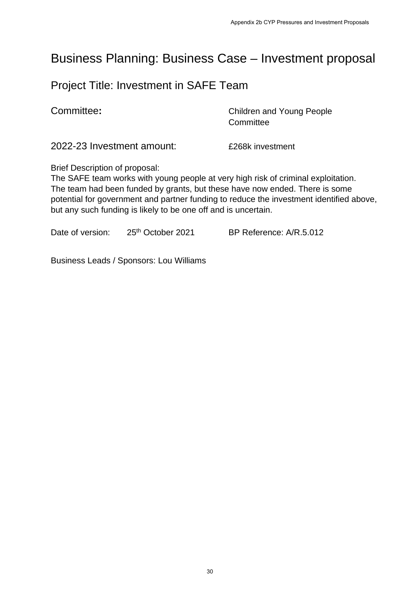### Business Planning: Business Case – Investment proposal

#### Project Title: Investment in SAFE Team

**Committee:** Committee: **Committee:** Children and Young People **Committee** 

2022-23 Investment amount: £268k investment

Brief Description of proposal:

The SAFE team works with young people at very high risk of criminal exploitation. The team had been funded by grants, but these have now ended. There is some potential for government and partner funding to reduce the investment identified above, but any such funding is likely to be one off and is uncertain. Appendix 2b CYP Pressures and Investment Proposals<br>
SCASE - Investment proposals<br>
SCASE Team<br>
Children and Young People<br>
Committee<br>
E268k investment<br>
at very high risk of criminal exploitation.<br>
these have now ended. There

Date of version: 25<sup>th</sup> October 2021 BP Reference: A/R.5.012

Business Leads / Sponsors: Lou Williams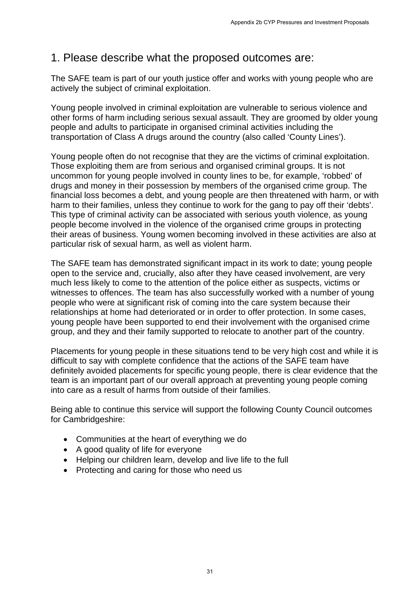#### 1. Please describe what the proposed outcomes are:

The SAFE team is part of our youth justice offer and works with young people who are actively the subject of criminal exploitation.

Young people involved in criminal exploitation are vulnerable to serious violence and other forms of harm including serious sexual assault. They are groomed by older young people and adults to participate in organised criminal activities including the transportation of Class A drugs around the country (also called 'County Lines').

Young people often do not recognise that they are the victims of criminal exploitation. Those exploiting them are from serious and organised criminal groups. It is not uncommon for young people involved in county lines to be, for example, 'robbed' of drugs and money in their possession by members of the organised crime group. The financial loss becomes a debt, and young people are then threatened with harm, or with harm to their families, unless they continue to work for the gang to pay off their 'debts'. This type of criminal activity can be associated with serious youth violence, as young people become involved in the violence of the organised crime groups in protecting their areas of business. Young women becoming involved in these activities are also at particular risk of sexual harm, as well as violent harm. Appendix 2b CYP Pressures and Investment Proposals<br>
apposed Outcometes are:<br>
Surfar and works with young people who are<br>
unal assault. They are groomed by older you<br>
and assault. They are groomed by older you<br>
ed criminal

The SAFE team has demonstrated significant impact in its work to date; young people open to the service and, crucially, also after they have ceased involvement, are very much less likely to come to the attention of the police either as suspects, victims or witnesses to offences. The team has also successfully worked with a number of young people who were at significant risk of coming into the care system because their relationships at home had deteriorated or in order to offer protection. In some cases, young people have been supported to end their involvement with the organised crime group, and they and their family supported to relocate to another part of the country.

Placements for young people in these situations tend to be very high cost and while it is difficult to say with complete confidence that the actions of the SAFE team have definitely avoided placements for specific young people, there is clear evidence that the team is an important part of our overall approach at preventing young people coming into care as a result of harms from outside of their families.

Being able to continue this service will support the following County Council outcomes for Cambridgeshire:

- Communities at the heart of everything we do
- A good quality of life for everyone
- Helping our children learn, develop and live life to the full
- Protecting and caring for those who need us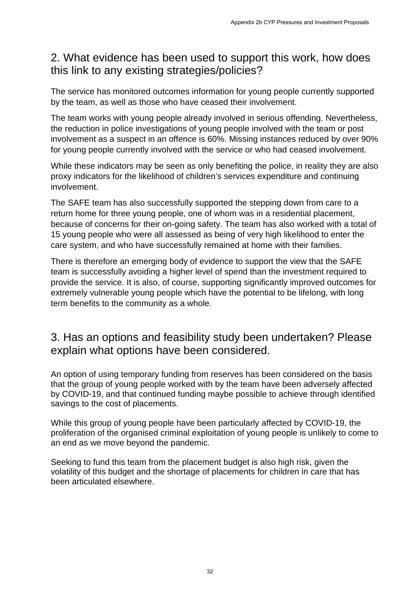#### 2. What evidence has been used to support this work, how does this link to any existing strategies/policies?

The service has monitored outcomes information for young people currently supported by the team, as well as those who have ceased their involvement.

The team works with young people already involved in serious offending. Nevertheless, the reduction in police investigations of young people involved with the team or post involvement as a suspect in an offence is 60%. Missing instances reduced by over 90% for young people currently involved with the service or who had ceased involvement.

While these indicators may be seen as only benefiting the police, in reality they are also proxy indicators for the likelihood of children's services expenditure and continuing involvement.

The SAFE team has also successfully supported the stepping down from care to a return home for three young people, one of whom was in a residential placement, because of concerns for their on-going safety. The team has also worked with a total of 15 young people who were all assessed as being of very high likelihood to enter the care system, and who have successfully remained at home with their families. Appendix 2b CYP Pressures and Investment Proposals<br>
2d to Support this work, how does<br>
Scyloplicies?<br>
Amothed in erious offerding. Nevertheles<br>
hy involved in serious offerding. Nevertheles<br>
ung people involved with the te

There is therefore an emerging body of evidence to support the view that the SAFE team is successfully avoiding a higher level of spend than the investment required to provide the service. It is also, of course, supporting significantly improved outcomes for extremely vulnerable young people which have the potential to be lifelong, with long term benefits to the community as a whole.

#### 3. Has an options and feasibility study been undertaken? Please explain what options have been considered.

An option of using temporary funding from reserves has been considered on the basis that the group of young people worked with by the team have been adversely affected by COVID-19, and that continued funding maybe possible to achieve through identified savings to the cost of placements.

While this group of young people have been particularly affected by COVID-19, the proliferation of the organised criminal exploitation of young people is unlikely to come to an end as we move beyond the pandemic.

Seeking to fund this team from the placement budget is also high risk, given the volatility of this budget and the shortage of placements for children in care that has been articulated elsewhere.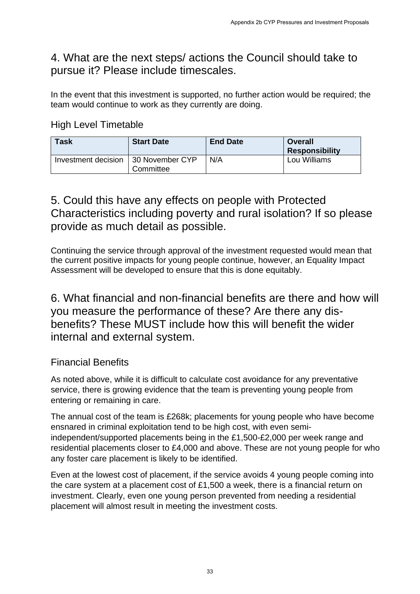#### 4. What are the next steps/ actions the Council should take to pursue it? Please include timescales.

In the event that this investment is supported, no further action would be required; the team would continue to work as they currently are doing.

High Level Timetable

| <b>Task</b>         | <b>Start Date</b>            | <b>End Date</b> | Overall<br><b>Responsibility</b> |
|---------------------|------------------------------|-----------------|----------------------------------|
| Investment decision | 30 November CYP<br>Committee | N/A             | Lou Williams                     |

### 5. Could this have any effects on people with Protected Characteristics including poverty and rural isolation? If so please provide as much detail as possible.

Continuing the service through approval of the investment requested would mean that the current positive impacts for young people continue, however, an Equality Impact Assessment will be developed to ensure that this is done equitably.

6. What financial and non-financial benefits are there and how will you measure the performance of these? Are there any disbenefits? These MUST include how this will benefit the wider internal and external system. Appendix 2b CYP Pressures and Investment Proposals<br>
Appendix 2b CYP Pressures and Investment Proposals<br>
and Date<br> **End Date**<br> **End Date**<br> **End Date**<br> **End Date**<br> **Regnonsitively**<br>
APP<br>
Cou Williams<br>
APP<br>
Cou Williams<br>
APP<br>

#### Financial Benefits

As noted above, while it is difficult to calculate cost avoidance for any preventative service, there is growing evidence that the team is preventing young people from entering or remaining in care.

The annual cost of the team is £268k; placements for young people who have become ensnared in criminal exploitation tend to be high cost, with even semiindependent/supported placements being in the £1,500-£2,000 per week range and residential placements closer to £4,000 and above. These are not young people for who any foster care placement is likely to be identified.

Even at the lowest cost of placement, if the service avoids 4 young people coming into the care system at a placement cost of £1,500 a week, there is a financial return on investment. Clearly, even one young person prevented from needing a residential placement will almost result in meeting the investment costs.